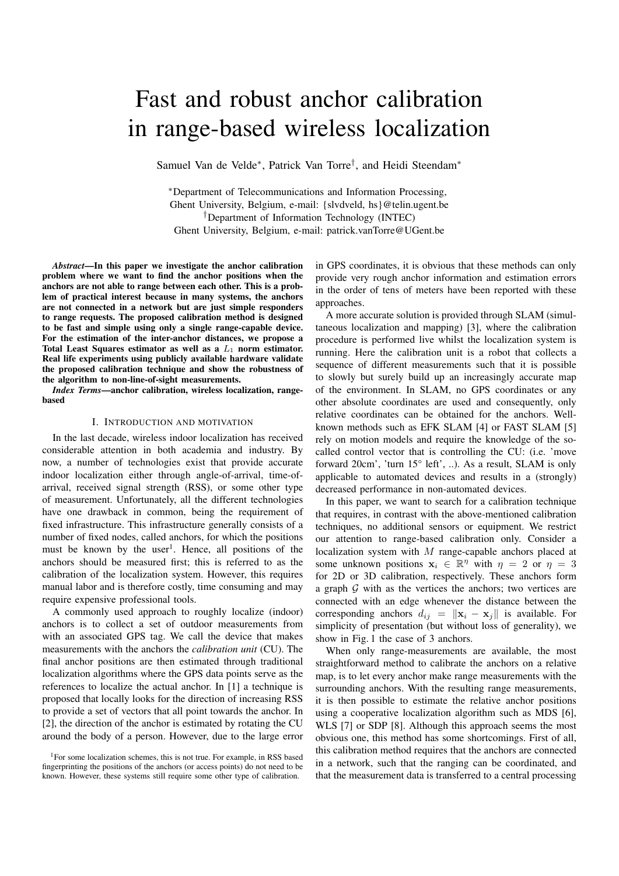# Fast and robust anchor calibration in range-based wireless localization

Samuel Van de Velde∗, Patrick Van Torre†, and Heidi Steendam∗

∗Department of Telecommunications and Information Processing, Ghent University, Belgium, e-mail: {slvdveld, hs}@telin.ugent.be †Department of Information Technology (INTEC) Ghent University, Belgium, e-mail: patrick.vanTorre@UGent.be

*Abstract*—In this paper we investigate the anchor calibration problem where we want to find the anchor positions when the anchors are not able to range between each other. This is a problem of practical interest because in many systems, the anchors are not connected in a network but are just simple responders to range requests. The proposed calibration method is designed to be fast and simple using only a single range-capable device. For the estimation of the inter-anchor distances, we propose a Total Least Squares estimator as well as a  $L_1$  norm estimator. Real life experiments using publicly available hardware validate the proposed calibration technique and show the robustness of the algorithm to non-line-of-sight measurements.

*Index Terms*—anchor calibration, wireless localization, rangebased

#### I. INTRODUCTION AND MOTIVATION

In the last decade, wireless indoor localization has received considerable attention in both academia and industry. By now, a number of technologies exist that provide accurate indoor localization either through angle-of-arrival, time-ofarrival, received signal strength (RSS), or some other type of measurement. Unfortunately, all the different technologies have one drawback in common, being the requirement of fixed infrastructure. This infrastructure generally consists of a number of fixed nodes, called anchors, for which the positions must be known by the user<sup>1</sup>. Hence, all positions of the anchors should be measured first; this is referred to as the calibration of the localization system. However, this requires manual labor and is therefore costly, time consuming and may require expensive professional tools.

A commonly used approach to roughly localize (indoor) anchors is to collect a set of outdoor measurements from with an associated GPS tag. We call the device that makes measurements with the anchors the *calibration unit* (CU). The final anchor positions are then estimated through traditional localization algorithms where the GPS data points serve as the references to localize the actual anchor. In [1] a technique is proposed that locally looks for the direction of increasing RSS to provide a set of vectors that all point towards the anchor. In [2], the direction of the anchor is estimated by rotating the CU around the body of a person. However, due to the large error in GPS coordinates, it is obvious that these methods can only provide very rough anchor information and estimation errors in the order of tens of meters have been reported with these approaches.

A more accurate solution is provided through SLAM (simultaneous localization and mapping) [3], where the calibration procedure is performed live whilst the localization system is running. Here the calibration unit is a robot that collects a sequence of different measurements such that it is possible to slowly but surely build up an increasingly accurate map of the environment. In SLAM, no GPS coordinates or any other absolute coordinates are used and consequently, only relative coordinates can be obtained for the anchors. Wellknown methods such as EFK SLAM [4] or FAST SLAM [5] rely on motion models and require the knowledge of the socalled control vector that is controlling the CU: (i.e. 'move forward 20cm', 'turn 15° left', ..). As a result, SLAM is only applicable to automated devices and results in a (strongly) decreased performance in non-automated devices.

In this paper, we want to search for a calibration technique that requires, in contrast with the above-mentioned calibration techniques, no additional sensors or equipment. We restrict our attention to range-based calibration only. Consider a localization system with M range-capable anchors placed at some unknown positions  $x_i \in \mathbb{R}^{\eta}$  with  $\eta = 2$  or  $\eta = 3$ for 2D or 3D calibration, respectively. These anchors form a graph  $G$  with as the vertices the anchors; two vertices are connected with an edge whenever the distance between the corresponding anchors  $d_{ij} = ||\mathbf{x}_i - \mathbf{x}_j||$  is available. For simplicity of presentation (but without loss of generality), we show in Fig. 1 the case of 3 anchors.

When only range-measurements are available, the most straightforward method to calibrate the anchors on a relative map, is to let every anchor make range measurements with the surrounding anchors. With the resulting range measurements, it is then possible to estimate the relative anchor positions using a cooperative localization algorithm such as MDS [6], WLS [7] or SDP [8]. Although this approach seems the most obvious one, this method has some shortcomings. First of all, this calibration method requires that the anchors are connected in a network, such that the ranging can be coordinated, and that the measurement data is transferred to a central processing

 $1$ For some localization schemes, this is not true. For example, in RSS based fingerprinting the positions of the anchors (or access points) do not need to be known. However, these systems still require some other type of calibration.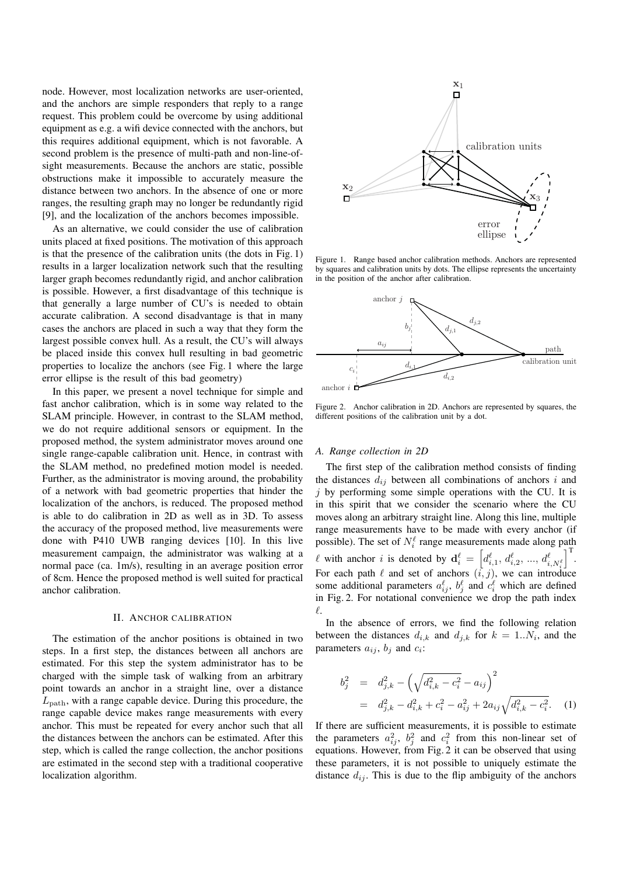node. However, most localization networks are user-oriented, and the anchors are simple responders that reply to a range request. This problem could be overcome by using additional equipment as e.g. a wifi device connected with the anchors, but this requires additional equipment, which is not favorable. A second problem is the presence of multi-path and non-line-ofsight measurements. Because the anchors are static, possible obstructions make it impossible to accurately measure the distance between two anchors. In the absence of one or more ranges, the resulting graph may no longer be redundantly rigid [9], and the localization of the anchors becomes impossible.

As an alternative, we could consider the use of calibration units placed at fixed positions. The motivation of this approach is that the presence of the calibration units (the dots in Fig. 1) results in a larger localization network such that the resulting larger graph becomes redundantly rigid, and anchor calibration is possible. However, a first disadvantage of this technique is that generally a large number of CU's is needed to obtain accurate calibration. A second disadvantage is that in many cases the anchors are placed in such a way that they form the largest possible convex hull. As a result, the CU's will always be placed inside this convex hull resulting in bad geometric properties to localize the anchors (see Fig. 1 where the large error ellipse is the result of this bad geometry)

In this paper, we present a novel technique for simple and fast anchor calibration, which is in some way related to the SLAM principle. However, in contrast to the SLAM method, we do not require additional sensors or equipment. In the proposed method, the system administrator moves around one single range-capable calibration unit. Hence, in contrast with the SLAM method, no predefined motion model is needed. Further, as the administrator is moving around, the probability of a network with bad geometric properties that hinder the localization of the anchors, is reduced. The proposed method is able to do calibration in 2D as well as in 3D. To assess the accuracy of the proposed method, live measurements were done with P410 UWB ranging devices [10]. In this live measurement campaign, the administrator was walking at a normal pace (ca. 1m/s), resulting in an average position error of 8cm. Hence the proposed method is well suited for practical anchor calibration.

#### II. ANCHOR CALIBRATION

The estimation of the anchor positions is obtained in two steps. In a first step, the distances between all anchors are estimated. For this step the system administrator has to be charged with the simple task of walking from an arbitrary point towards an anchor in a straight line, over a distance  $L_{\text{path}}$ , with a range capable device. During this procedure, the range capable device makes range measurements with every anchor. This must be repeated for every anchor such that all the distances between the anchors can be estimated. After this step, which is called the range collection, the anchor positions are estimated in the second step with a traditional cooperative localization algorithm.



Figure 1. Range based anchor calibration methods. Anchors are represented by squares and calibration units by dots. The ellipse represents the uncertainty in the position of the anchor after calibration.



Figure 2. Anchor calibration in 2D. Anchors are represented by squares, the different positions of the calibration unit by a dot.

#### *A. Range collection in 2D*

The first step of the calibration method consists of finding the distances  $d_{ij}$  between all combinations of anchors i and  $j$  by performing some simple operations with the CU. It is in this spirit that we consider the scenario where the CU moves along an arbitrary straight line. Along this line, multiple range measurements have to be made with every anchor (if possible). The set of  $N_i^{\ell}$  range measurements made along path  $\ell$  with anchor i is denoted by  $\mathbf{d}_{i}^{\ell} = \left[ d_{i,1}^{\ell}, d_{i,2}^{\ell}, ..., d_{i,N_{i}^{\ell}}^{\ell} \right]$  $\big]$ <sup>T</sup>. For each path  $\ell$  and set of anchors  $(i, j)$ , we can introduce some additional parameters  $a_{ij}^{\ell}$ ,  $b_j^{\ell}$  and  $c_i^{\ell}$  which are defined in Fig. 2. For notational convenience we drop the path index  $\ell$ .

In the absence of errors, we find the following relation between the distances  $d_{i,k}$  and  $d_{j,k}$  for  $k = 1..N_i$ , and the parameters  $a_{ij}$ ,  $b_j$  and  $c_i$ :

$$
b_j^2 = d_{j,k}^2 - \left(\sqrt{d_{i,k}^2 - c_i^2} - a_{ij}\right)^2
$$
  
= 
$$
d_{j,k}^2 - d_{i,k}^2 + c_i^2 - a_{ij}^2 + 2a_{ij}\sqrt{d_{i,k}^2 - c_i^2}.
$$
 (1)

If there are sufficient measurements, it is possible to estimate the parameters  $a_{ij}^2$ ,  $b_j^2$  and  $c_i^2$  from this non-linear set of equations. However, from Fig. 2 it can be observed that using these parameters, it is not possible to uniquely estimate the distance  $d_{ij}$ . This is due to the flip ambiguity of the anchors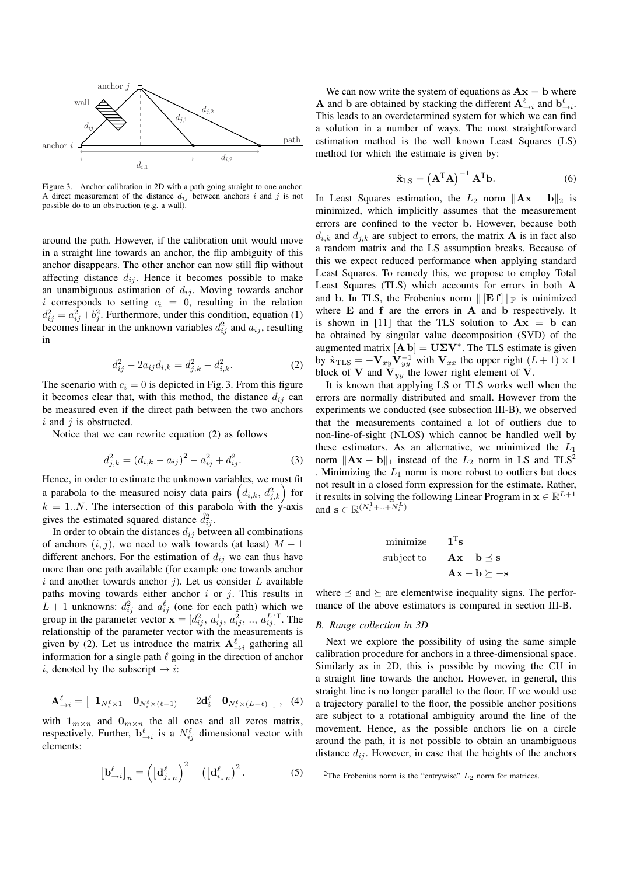

Figure 3. Anchor calibration in 2D with a path going straight to one anchor. A direct measurement of the distance  $d_{ij}$  between anchors i and j is not possible do to an obstruction (e.g. a wall).

around the path. However, if the calibration unit would move in a straight line towards an anchor, the flip ambiguity of this anchor disappears. The other anchor can now still flip without affecting distance  $d_{ij}$ . Hence it becomes possible to make an unambiguous estimation of  $d_{ij}$ . Moving towards anchor i corresponds to setting  $c_i = 0$ , resulting in the relation  $d_{ij}^2 = a_{ij}^2 + b_j^2$ . Furthermore, under this condition, equation (1) becomes linear in the unknown variables  $d_{ij}^2$  and  $a_{ij}$ , resulting in

$$
d_{ij}^2 - 2a_{ij}d_{i,k} = d_{j,k}^2 - d_{i,k}^2.
$$
 (2)

The scenario with  $c_i = 0$  is depicted in Fig. 3. From this figure it becomes clear that, with this method, the distance  $d_{ij}$  can be measured even if the direct path between the two anchors  $i$  and  $j$  is obstructed.

Notice that we can rewrite equation (2) as follows

$$
d_{j,k}^2 = (d_{i,k} - a_{ij})^2 - a_{ij}^2 + d_{ij}^2.
$$
 (3)

Hence, in order to estimate the unknown variables, we must fit a parabola to the measured noisy data pairs  $\left( d_{i,k}, d_{j,k}^{2} \right)$  for  $k = 1..N$ . The intersection of this parabola with the y-axis gives the estimated squared distance  $\hat{d}_{ij}^2$ .

In order to obtain the distances  $d_{ij}$  between all combinations of anchors  $(i, j)$ , we need to walk towards (at least)  $M - 1$ different anchors. For the estimation of  $d_{ij}$  we can thus have more than one path available (for example one towards anchor  $i$  and another towards anchor  $j$ ). Let us consider  $L$  available paths moving towards either anchor  $i$  or  $j$ . This results in  $L + 1$  unknowns:  $d_{ij}^2$  and  $a_{ij}^{\ell}$  (one for each path) which we group in the parameter vector  $\mathbf{x} = [d_{ij}^2, a_{ij}^1, a_{ij}^2, ..., a_{ij}^L]^T$ . The relationship of the parameter vector with the measurements is given by (2). Let us introduce the matrix  $\mathbf{A}_{\to i}^{\ell}$  gathering all information for a single path  $\ell$  going in the direction of anchor i, denoted by the subscript  $\rightarrow i$ :

$$
\mathbf{A}_{\rightarrow i}^{\ell} = \begin{bmatrix} \mathbf{1}_{N_i^{\ell} \times 1} & \mathbf{0}_{N_i^{\ell} \times (\ell-1)} & -2\mathbf{d}_i^{\ell} & \mathbf{0}_{N_i^{\ell} \times (L-\ell)} \end{bmatrix}, \quad (4)
$$

with  $\mathbf{1}_{m \times n}$  and  $\mathbf{0}_{m \times n}$  the all ones and all zeros matrix, respectively. Further,  $\mathbf{b}^{\ell}_{\to i}$  is a  $N^{\ell}_{ij}$  dimensional vector with elements:

$$
\left[\mathbf{b}_{\to i}^{\ell}\right]_n = \left(\left[\mathbf{d}_j^{\ell}\right]_n\right)^2 - \left(\left[\mathbf{d}_i^{\ell}\right]_n\right)^2. \tag{5}
$$

We can now write the system of equations as  $A x = b$  where **A** and **b** are obtained by stacking the different  $\mathbf{A}^{\ell}_{\to i}$  and  $\mathbf{b}^{\ell}_{\to i}$ . This leads to an overdetermined system for which we can find a solution in a number of ways. The most straightforward estimation method is the well known Least Squares (LS) method for which the estimate is given by:

$$
\hat{\mathbf{x}}_{\text{LS}} = \left(\mathbf{A}^{\text{T}}\mathbf{A}\right)^{-1}\mathbf{A}^{\text{T}}\mathbf{b}.\tag{6}
$$

In Least Squares estimation, the  $L_2$  norm  $||Ax - b||_2$  is minimized, which implicitly assumes that the measurement errors are confined to the vector **b**. However, because both  $d_{i,k}$  and  $d_{i,k}$  are subject to errors, the matrix **A** is in fact also a random matrix and the LS assumption breaks. Because of this we expect reduced performance when applying standard Least Squares. To remedy this, we propose to employ Total Least Squares (TLS) which accounts for errors in both **A** and **b**. In TLS, the Frobenius norm  $\|[\mathbf{E} \mathbf{f}]\|_{\mathrm{F}}$  is minimized where **E** and **f** are the errors in **A** and **b** respectively. It is shown in [11] that the TLS solution to  $Ax = b$  can be obtained by singular value decomposition (SVD) of the augmented matrix  $[\mathbf{A} \mathbf{b}] = \mathbf{U} \Sigma \mathbf{V}^*$ . The TLS estimate is given by  $\hat{\mathbf{x}}_{\text{TLS}} = -\mathbf{V}_{xy}\mathbf{V}_{yy}^{-1}$  with  $\mathbf{V}_{xx}$  the upper right  $(L+1) \times 1$ block of **V** and  $\mathbf{V}_{yy}$  the lower right element of **V**.

It is known that applying LS or TLS works well when the errors are normally distributed and small. However from the experiments we conducted (see subsection III-B), we observed that the measurements contained a lot of outliers due to non-line-of-sight (NLOS) which cannot be handled well by these estimators. As an alternative, we minimized the  $L_1$ norm  $\|\mathbf{Ax} - \mathbf{b}\|_1$  instead of the  $L_2$  norm in LS and TLS<sup>2</sup> . Minimizing the  $L_1$  norm is more robust to outliers but does not result in a closed form expression for the estimate. Rather, it results in solving the following Linear Program in **x**  $\in \mathbb{R}^{L+1}$ and  $\mathbf{s} \in \mathbb{R}^{(N_i^1 + \ldots + N_i^L)}$ 

$$
\begin{array}{ll}\text{minimize} & \mathbf{1}^T \mathbf{s} \\ \text{subject to} & \mathbf{A}\mathbf{x} - \mathbf{b} \preceq \mathbf{s} \\ & \mathbf{A}\mathbf{x} - \mathbf{b} \succeq -\mathbf{s} \end{array}
$$

where  $\prec$  and  $\succeq$  are elementwise inequality signs. The performance of the above estimators is compared in section III-B.

## *B. Range collection in 3D*

Next we explore the possibility of using the same simple calibration procedure for anchors in a three-dimensional space. Similarly as in 2D, this is possible by moving the CU in a straight line towards the anchor. However, in general, this straight line is no longer parallel to the floor. If we would use a trajectory parallel to the floor, the possible anchor positions are subject to a rotational ambiguity around the line of the movement. Hence, as the possible anchors lie on a circle around the path, it is not possible to obtain an unambiguous distance  $d_{ij}$ . However, in case that the heights of the anchors

<sup>2</sup>The Frobenius norm is the "entrywise"  $L_2$  norm for matrices.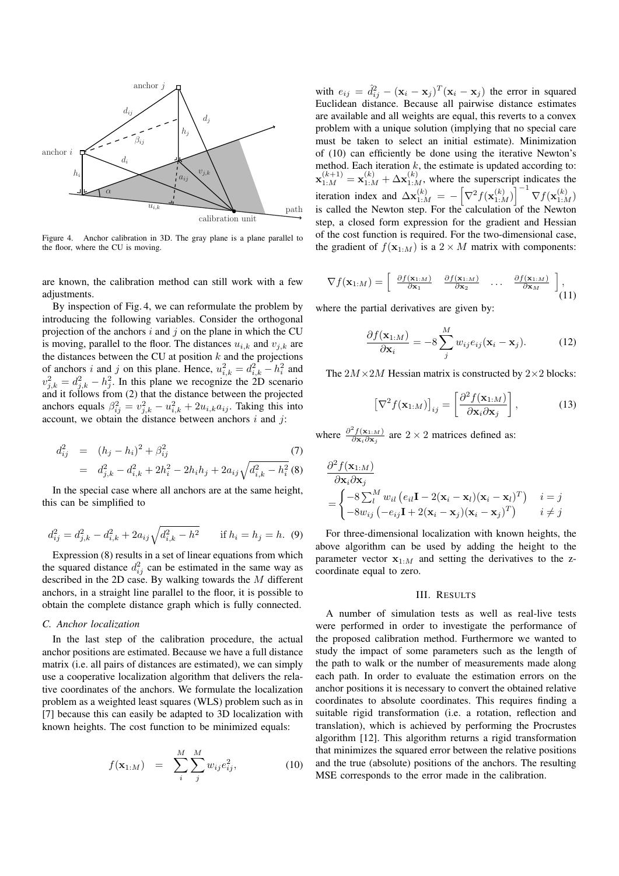

Figure 4. Anchor calibration in 3D. The gray plane is a plane parallel to the floor, where the CU is moving.

are known, the calibration method can still work with a few adjustments.

By inspection of Fig. 4, we can reformulate the problem by introducing the following variables. Consider the orthogonal projection of the anchors  $i$  and  $j$  on the plane in which the CU is moving, parallel to the floor. The distances  $u_{i,k}$  and  $v_{i,k}$  are the distances between the CU at position  $k$  and the projections of anchors i and j on this plane. Hence,  $u_{i,k}^2 = d_{i,k}^2 - h_i^2$  and  $v_{j,k}^2 = d_{j,k}^2 - h_j^2$ . In this plane we recognize the 2D scenario and it follows from (2) that the distance between the projected anchors equals  $\beta_{ij}^2 = v_{j,k}^2 - u_{i,k}^2 + 2u_{i,k}a_{ij}$ . Taking this into account, we obtain the distance between anchors  $i$  and  $j$ :

$$
d_{ij}^2 = (h_j - h_i)^2 + \beta_{ij}^2
$$
\n
$$
= d_{j,k}^2 - d_{i,k}^2 + 2h_i^2 - 2h_ih_j + 2a_{ij}\sqrt{d_{i,k}^2 - h_i^2}
$$
\n(7)

In the special case where all anchors are at the same height, this can be simplified to

$$
d_{ij}^2 = d_{j,k}^2 - d_{i,k}^2 + 2a_{ij}\sqrt{d_{i,k}^2 - h^2} \quad \text{if } h_i = h_j = h. \tag{9}
$$

Expression (8) results in a set of linear equations from which the squared distance  $d_{ij}^2$  can be estimated in the same way as described in the 2D case. By walking towards the M different anchors, in a straight line parallel to the floor, it is possible to obtain the complete distance graph which is fully connected.

## *C. Anchor localization*

In the last step of the calibration procedure, the actual anchor positions are estimated. Because we have a full distance matrix (i.e. all pairs of distances are estimated), we can simply use a cooperative localization algorithm that delivers the relative coordinates of the anchors. We formulate the localization problem as a weighted least squares (WLS) problem such as in [7] because this can easily be adapted to 3D localization with known heights. The cost function to be minimized equals:

$$
f(\mathbf{x}_{1:M}) = \sum_{i}^{M} \sum_{j}^{M} w_{ij} e_{ij}^{2}, \qquad (10)
$$

with  $e_{ij} = \hat{d}_{ij}^2 - (\mathbf{x}_i - \mathbf{x}_j)^T (\mathbf{x}_i - \mathbf{x}_j)$  the error in squared Euclidean distance. Because all pairwise distance estimates are available and all weights are equal, this reverts to a convex problem with a unique solution (implying that no special care must be taken to select an initial estimate). Minimization of (10) can efficiently be done using the iterative Newton's method. Each iteration  $k$ , the estimate is updated according to:  $\mathbf{x}_{1:M}^{(k+1)} = \mathbf{x}_{1:M}^{(k)} + \Delta \mathbf{x}_{1:M}^{(k)}$ , where the superscript indicates the iteration index and  $\Delta \mathbf{x}_{1:M}^{(k)} = -\left[\nabla^2 f(\mathbf{x}_{1:M}^{(k)})\right]^{-1} \nabla f(\mathbf{x}_{1:M}^{(k)})$ is called the Newton step. For the calculation of the Newton step, a closed form expression for the gradient and Hessian of the cost function is required. For the two-dimensional case, the gradient of  $f(\mathbf{x}_{1:M})$  is a  $2 \times M$  matrix with components:

$$
\nabla f(\mathbf{x}_{1:M}) = \begin{bmatrix} \frac{\partial f(\mathbf{x}_{1:M})}{\partial \mathbf{x}_1} & \frac{\partial f(\mathbf{x}_{1:M})}{\partial \mathbf{x}_2} & \dots & \frac{\partial f(\mathbf{x}_{1:M})}{\partial \mathbf{x}_M} \end{bmatrix},
$$
(11)

where the partial derivatives are given by:

$$
\frac{\partial f(\mathbf{x}_{1:M})}{\partial \mathbf{x}_i} = -8 \sum_{j}^{M} w_{ij} e_{ij} (\mathbf{x}_i - \mathbf{x}_j). \tag{12}
$$

The  $2M \times 2M$  Hessian matrix is constructed by  $2 \times 2$  blocks:

$$
\left[\nabla^2 f(\mathbf{x}_{1:M})\right]_{ij} = \left[\frac{\partial^2 f(\mathbf{x}_{1:M})}{\partial \mathbf{x}_i \partial \mathbf{x}_j}\right],\tag{13}
$$

where  $\frac{\partial^2 f(\mathbf{x}_{1:M})}{\partial \mathbf{x}_i \partial \mathbf{x}_j}$  are 2 × 2 matrices defined as:

$$
\frac{\partial^2 f(\mathbf{x}_{1:M})}{\partial \mathbf{x}_i \partial \mathbf{x}_j}
$$
\n
$$
= \begin{cases}\n-8 \sum_l^M w_{il} (e_{il} \mathbf{I} - 2(\mathbf{x}_i - \mathbf{x}_l)(\mathbf{x}_i - \mathbf{x}_l)^T) & i = j \\
-8 w_{ij} (-e_{ij} \mathbf{I} + 2(\mathbf{x}_i - \mathbf{x}_j)(\mathbf{x}_i - \mathbf{x}_j)^T) & i \neq j\n\end{cases}
$$

For three-dimensional localization with known heights, the above algorithm can be used by adding the height to the parameter vector  $x_{1:M}$  and setting the derivatives to the zcoordinate equal to zero.

#### III. RESULTS

A number of simulation tests as well as real-live tests were performed in order to investigate the performance of the proposed calibration method. Furthermore we wanted to study the impact of some parameters such as the length of the path to walk or the number of measurements made along each path. In order to evaluate the estimation errors on the anchor positions it is necessary to convert the obtained relative coordinates to absolute coordinates. This requires finding a suitable rigid transformation (i.e. a rotation, reflection and translation), which is achieved by performing the Procrustes algorithm [12]. This algorithm returns a rigid transformation that minimizes the squared error between the relative positions and the true (absolute) positions of the anchors. The resulting MSE corresponds to the error made in the calibration.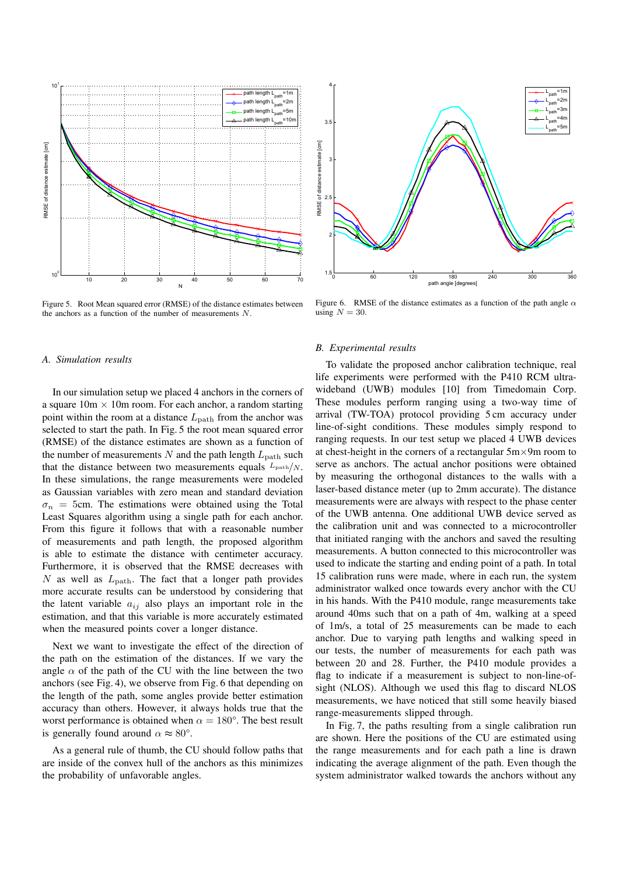

Figure 5. Root Mean squared error (RMSE) of the distance estimates between the anchors as a function of the number of measurements N.



Figure 6. RMSE of the distance estimates as a function of the path angle  $\alpha$ using  $N = 30$ .

# *A. Simulation results*

In our simulation setup we placed 4 anchors in the corners of a square  $10m \times 10m$  room. For each anchor, a random starting point within the room at a distance  $L_{\text{path}}$  from the anchor was selected to start the path. In Fig. 5 the root mean squared error (RMSE) of the distance estimates are shown as a function of the number of measurements N and the path length  $L_{\text{path}}$  such that the distance between two measurements equals  $L_{\text{path}}/N$ . In these simulations, the range measurements were modeled as Gaussian variables with zero mean and standard deviation  $\sigma_n$  = 5cm. The estimations were obtained using the Total Least Squares algorithm using a single path for each anchor. From this figure it follows that with a reasonable number of measurements and path length, the proposed algorithm is able to estimate the distance with centimeter accuracy. Furthermore, it is observed that the RMSE decreases with  $N$  as well as  $L_{\text{path}}$ . The fact that a longer path provides more accurate results can be understood by considering that the latent variable  $a_{ij}$  also plays an important role in the estimation, and that this variable is more accurately estimated when the measured points cover a longer distance.

Next we want to investigate the effect of the direction of the path on the estimation of the distances. If we vary the angle  $\alpha$  of the path of the CU with the line between the two anchors (see Fig. 4), we observe from Fig. 6 that depending on the length of the path, some angles provide better estimation accuracy than others. However, it always holds true that the worst performance is obtained when  $\alpha = 180^{\circ}$ . The best result is generally found around  $\alpha \approx 80^{\circ}$ .

As a general rule of thumb, the CU should follow paths that are inside of the convex hull of the anchors as this minimizes the probability of unfavorable angles.

## *B. Experimental results*

To validate the proposed anchor calibration technique, real life experiments were performed with the P410 RCM ultrawideband (UWB) modules [10] from Timedomain Corp. These modules perform ranging using a two-way time of arrival (TW-TOA) protocol providing 5 cm accuracy under line-of-sight conditions. These modules simply respond to ranging requests. In our test setup we placed 4 UWB devices at chest-height in the corners of a rectangular  $5m \times 9m$  room to serve as anchors. The actual anchor positions were obtained by measuring the orthogonal distances to the walls with a laser-based distance meter (up to 2mm accurate). The distance measurements were are always with respect to the phase center of the UWB antenna. One additional UWB device served as the calibration unit and was connected to a microcontroller that initiated ranging with the anchors and saved the resulting measurements. A button connected to this microcontroller was used to indicate the starting and ending point of a path. In total 15 calibration runs were made, where in each run, the system administrator walked once towards every anchor with the CU in his hands. With the P410 module, range measurements take around 40ms such that on a path of 4m, walking at a speed of 1m/s, a total of 25 measurements can be made to each anchor. Due to varying path lengths and walking speed in our tests, the number of measurements for each path was between 20 and 28. Further, the P410 module provides a flag to indicate if a measurement is subject to non-line-ofsight (NLOS). Although we used this flag to discard NLOS measurements, we have noticed that still some heavily biased range-measurements slipped through.

In Fig. 7, the paths resulting from a single calibration run are shown. Here the positions of the CU are estimated using the range measurements and for each path a line is drawn indicating the average alignment of the path. Even though the system administrator walked towards the anchors without any